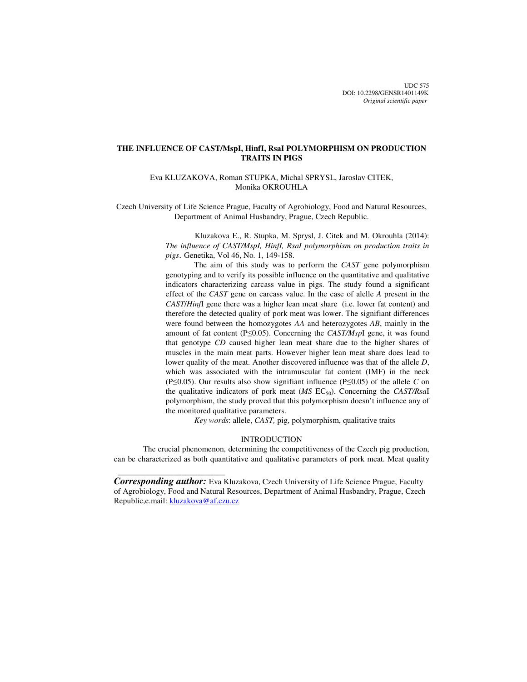UDC 575 DOI: 10.2298/GENSR1401149K *Original scientific paper*

# **THE INFLUENCE OF CAST/MspI, HinfI, RsaI POLYMORPHISM ON PRODUCTION TRAITS IN PIGS**

Eva KLUZAKOVA, Roman STUPKA, Michal SPRYSL, Jaroslav CITEK, Monika OKROUHLA

Czech University of Life Science Prague, Faculty of Agrobiology, Food and Natural Resources, Department of Animal Husbandry, Prague, Czech Republic.

> Kluzakova E., R. Stupka, M. Sprysl, J. Citek and M. Okrouhla (2014): *The influence of CAST/MspI, HinfI, RsaI polymorphism on production traits in pigs*. Genetika, Vol 46, No. 1, 149-158.

> The aim of this study was to perform the *CAST* gene polymorphism genotyping and to verify its possible influence on the quantitative and qualitative indicators characterizing carcass value in pigs. The study found a significant effect of the *CAST* gene on carcass value. In the case of alelle *A* present in the *CAST*/*Hinf*I gene there was a higher lean meat share (i.e. lower fat content) and therefore the detected quality of pork meat was lower. The signifiant differences were found between the homozygotes *AA* and heterozygotes *AB*, mainly in the amount of fat content (P≤0.05). Concerning the *CAST/Msp*I gene, it was found that genotype *CD* caused higher lean meat share due to the higher shares of muscles in the main meat parts. However higher lean meat share does lead to lower quality of the meat. Another discovered influence was that of the allele *D*, which was associated with the intramuscular fat content (IMF) in the neck (P≤0.05). Our results also show signifiant influence (P≤0.05) of the allele *C* on the qualitative indicators of pork meat  $(MS \text{ EC}_{50})$ . Concerning the *CAST/RsaI* polymorphism, the study proved that this polymorphism doesn't influence any of the monitored qualitative parameters.

*Key words*: allele, *CAST,* pig, polymorphism, qualitative traits

## INTRODUCTION

The crucial phenomenon, determining the competitiveness of the Czech pig production, can be characterized as both quantitative and qualitative parameters of pork meat. Meat quality

*Corresponding author:* Eva Kluzakova, Czech University of Life Science Prague, Faculty of Agrobiology, Food and Natural Resources, Department of Animal Husbandry, Prague, Czech Republic, e.mail: kluzakova@af.czu.cz

 $\frac{1}{2}$  , and the set of the set of the set of the set of the set of the set of the set of the set of the set of the set of the set of the set of the set of the set of the set of the set of the set of the set of the set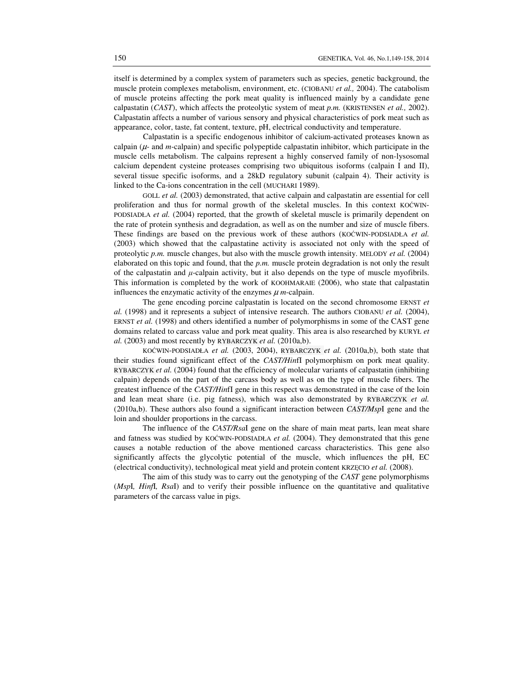itself is determined by a complex system of parameters such as species, genetic background, the muscle protein complexes metabolism, environment, etc. (CIOBANU *et al.,* 2004). The catabolism of muscle proteins affecting the pork meat quality is influenced mainly by a candidate gene calpastatin (*CAST*), which affects the proteolytic system of meat *p.m.* (KRISTENSEN *et al.,* 2002). Calpastatin affects a number of various sensory and physical characteristics of pork meat such as appearance, color, taste, fat content, texture, pH, electrical conductivity and temperature.

 Calpastatin is a specific endogenous inhibitor of calcium-activated proteases known as calpain  $(\mu$ - and *m*-calpain) and specific polypeptide calpastatin inhibitor, which participate in the muscle cells metabolism. The calpains represent a highly conserved family of non-lysosomal calcium dependent cysteine proteases comprising two ubiquitous isoforms (calpain I and II), several tissue specific isoforms, and a 28kD regulatory subunit (calpain 4). Their activity is linked to the Ca-ions concentration in the cell (MUCHARI 1989).

GOLL *et al.* (2003) demonstrated, that active calpain and calpastatin are essential for cell proliferation and thus for normal growth of the skeletal muscles. In this context KOĆWIN-PODSIADŁA *et al.* (2004) reported, that the growth of skeletal muscle is primarily dependent on the rate of protein synthesis and degradation, as well as on the number and size of muscle fibers. These findings are based on the previous work of these authors (KOĆWIN-PODSIADŁA *et al.* (2003) which showed that the calpastatine activity is associated not only with the speed of proteolytic *p.m.* muscle changes, but also with the muscle growth intensity. MELODY *et al.* (2004) elaborated on this topic and found, that the *p.m.* muscle protein degradation is not only the result of the calpastatin and  $\mu$ -calpain activity, but it also depends on the type of muscle myofibrils. This information is completed by the work of KOOHMARAIE (2006), who state that calpastatin influences the enzymatic activity of the enzymes  $\mu$  *m*-calpain.

The gene encoding porcine calpastatin is located on the second chromosome ERNST *et al.* (1998) and it represents a subject of intensive research. The authors CIOBANU *et al.* (2004), ERNST *et al.* (1998) and others identified a number of polymorphisms in some of the CAST gene domains related to carcass value and pork meat quality. This area is also researched by KURYŁ *et al.* (2003) and most recently by RYBARCZYK *et al.* (2010a,b).

KOĆWIN-PODSIADŁA *et al.* (2003, 2004), RYBARCZYK *et al.* (2010a,b), both state that their studies found significant effect of the *CAST/Hin*fI polymorphism on pork meat quality. RYBARCZYK *et al.* (2004) found that the efficiency of molecular variants of calpastatin (inhibiting calpain) depends on the part of the carcass body as well as on the type of muscle fibers. The greatest influence of the *CAST/Hin*fI gene in this respect was demonstrated in the case of the loin and lean meat share (i.e. pig fatness), which was also demonstrated by RYBARCZYK *et al.* (2010a,b). These authors also found a significant interaction between *CAST/Msp*I gene and the loin and shoulder proportions in the carcass.

The influence of the *CAST/Rsa*I gene on the share of main meat parts, lean meat share and fatness was studied by KOĆWIN-PODSIADŁA *et al.* (2004). They demonstrated that this gene causes a notable reduction of the above mentioned carcass characteristics. This gene also significantly affects the glycolytic potential of the muscle, which influences the pH, EC (electrical conductivity), technological meat yield and protein content KRZĘCIO *et al.* (2008).

The aim of this study was to carry out the genotyping of the *CAST* gene polymorphisms (*Msp*I*, Hinf*I*, Rsa*I) and to verify their possible influence on the quantitative and qualitative parameters of the carcass value in pigs.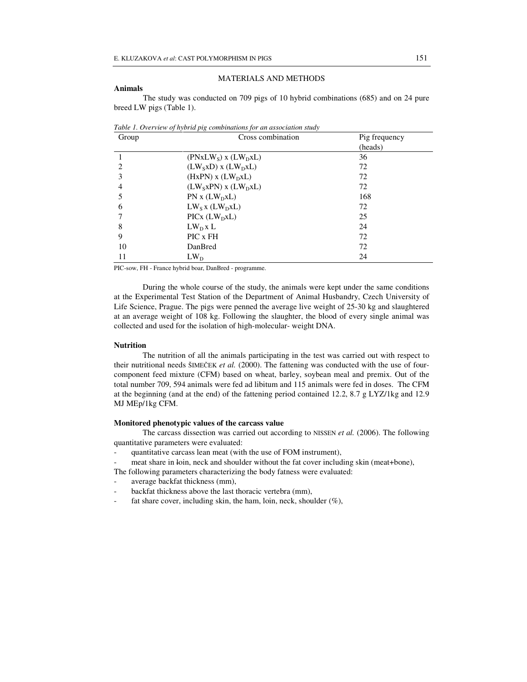#### **Animals**

# MATERIALS AND METHODS

 The study was conducted on 709 pigs of 10 hybrid combinations (685) and on 24 pure breed LW pigs (Table 1).

| Group         | $\cdots$ ro<br>Cross combination         | Pig frequency |  |  |
|---------------|------------------------------------------|---------------|--|--|
|               |                                          | (heads)       |  |  |
|               | $(PNxLWS)$ x $(LWDxL)$                   | 36            |  |  |
| $\mathcal{L}$ | $(LW_SxD)$ x $(LW_DXL)$                  | 72            |  |  |
| 3             | $(HxPN)$ x $(LW_DxL)$                    | 72            |  |  |
| 4             | $(LW_SxPN)$ x $(LW_DxL)$                 | 72            |  |  |
|               | $PN x (LW_D xL)$                         | 168           |  |  |
| 6             | $LW_Sx(LW_DxL)$                          | 72            |  |  |
|               | $\text{PICx}$ ( $\text{LW}_\text{D}$ xL) | 25            |  |  |
| 8             | $LW_DxL$                                 | 24            |  |  |
| 9             | PIC x FH                                 | 72            |  |  |
| 10            | DanBred                                  | 72            |  |  |
| 11            | $LW_D$                                   | 24            |  |  |

*Table 1. Overview of hybrid pig combinations for an association study* 

PIC-sow, FH - France hybrid boar, DanBred - programme.

During the whole course of the study, the animals were kept under the same conditions at the Experimental Test Station of the Department of Animal Husbandry, Czech University of Life Science, Prague. The pigs were penned the average live weight of 25-30 kg and slaughtered at an average weight of 108 kg. Following the slaughter, the blood of every single animal was collected and used for the isolation of high-molecular- weight DNA.

## **Nutrition**

The nutrition of all the animals participating in the test was carried out with respect to their nutritional needs ŠIMEČEK *et al.* (2000). The fattening was conducted with the use of fourcomponent feed mixture (CFM) based on wheat, barley, soybean meal and premix. Out of the total number 709, 594 animals were fed ad libitum and 115 animals were fed in doses. The CFM at the beginning (and at the end) of the fattening period contained 12.2, 8.7 g LYZ/1kg and 12.9 MJ MEp/1kg CFM.

## **Monitored phenotypic values of the carcass value**

The carcass dissection was carried out according to NISSEN *et al.* (2006). The following quantitative parameters were evaluated:

- quantitative carcass lean meat (with the use of FOM instrument),
- meat share in loin, neck and shoulder without the fat cover including skin (meat+bone),
- The following parameters characterizing the body fatness were evaluated:
- average backfat thickness (mm),
- backfat thickness above the last thoracic vertebra (mm),
- fat share cover, including skin, the ham, loin, neck, shoulder  $(\%)$ ,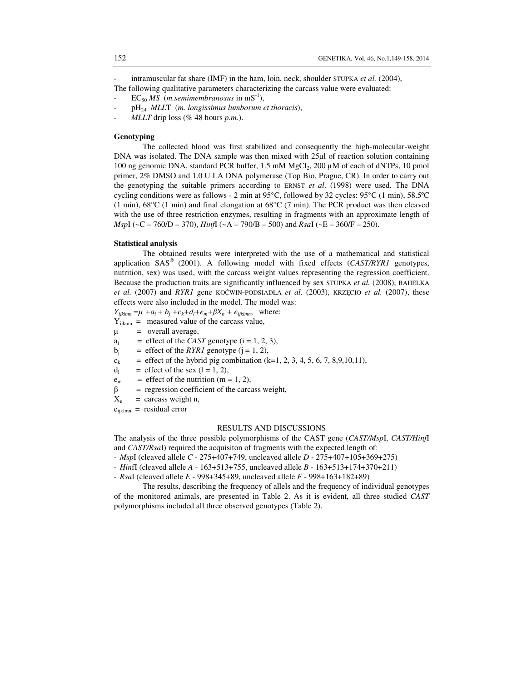intramuscular fat share (IMF) in the ham, loin, neck, shoulder STUPKA *et al.* (2004), The following qualitative parameters characterizing the carcass value were evaluated:

- $EC_{50}$  *MS* (*m.semimembranosus* in mS<sup>-1</sup>),
- pH<sup>24</sup> *MLL*T (*m. longissimus lumborum et thoracis*),
- *MLLT* drip loss (% 48 hours *p.m.*).

# **Genotyping**

The collected blood was first stabilized and consequently the high-molecular-weight DNA was isolated. The DNA sample was then mixed with 25µl of reaction solution containing 100 ng genomic DNA, standard PCR buffer,  $1.5 \text{ mM MgCl}_2$ ,  $200 \mu \text{M}$  of each of dNTPs, 10 pmol primer, 2% DMSO and 1.0 U LA DNA polymerase (Top Bio, Prague, CR). In order to carry out the genotyping the suitable primers according to ERNST *et al*. (1998) were used. The DNA cycling conditions were as follows - 2 min at 95°C, followed by 32 cycles: 95°C (1 min), 58.5ºC  $(1 \text{ min})$ ,  $68^{\circ}$ C  $(1 \text{ min})$  and final elongation at  $68^{\circ}$ C  $(7 \text{ min})$ . The PCR product was then cleaved with the use of three restriction enzymes, resulting in fragments with an approximate length of *Msp*I (~C – 760/D – 370), *Hinf*I (~A – 790/B – 500) and *Rsa*I (~E – 360/F – 250).

## **Statistical analysis**

The obtained results were interpreted with the use of a mathematical and statistical application SAS (2001). A following model with fixed effects (*CAST/RYR1* genotypes, nutrition, sex) was used, with the carcass weight values representing the regression coefficient. Because the production traits are significantly influenced by sex STUPKA *et al.* (2008), BAHELKA *et al.* (2007) and *RYR1* gene KOĆWIN-PODSIADŁA *et al.* (2003), KRZĘCIO *et al.* (2007), these effects were also included in the model. The model was:

 $Y_{ijklmn} = \mu + a_i + b_j + c_k + d_l + e_m + \beta X_n + e_{ijklmn}$ , where:

- $Y_{ijkmn}$  = measured value of the carcass value,
- $\mu$  = overall average,
- a<sub>i</sub>  $=$  effect of the *CAST* genotype  $(i = 1, 2, 3)$ ,
- $b_i$  = effect of the *RYR1* genotype  $(j = 1, 2)$ ,
- $c_k$  = effect of the hybrid pig combination (k=1, 2, 3, 4, 5, 6, 7, 8,9,10,11),
- $d_1$  = effect of the sex (1 = 1, 2),
- $e_m$  = effect of the nutrition (m = 1, 2),
- $β = regression coefficient of the carcass weight,$
- $X_n$  = carcass weight n,
- $e_{ijklmn}$  = residual error

## RESULTS AND DISCUSSIONS

The analysis of the three possible polymorphisms of the CAST gene (*CAST/Msp*I, *CAST/Hinf*I and *CAST/Rsa*I) required the acquisiton of fragments with the expected length of:

- *Msp*I (cleaved allele *C* 275+407+749, uncleaved allele *D* 275+407+105+369+275)
- *Hin*fI (cleaved allele *A* 163+513+755, uncleaved allele *B* 163+513+174+370+211)
- *Rsa*I (cleaved allele *E*  998+345+89, uncleaved allele *F* 998+163+182+89)

The results, describing the frequency of allels and the frequency of individual genotypes of the monitored animals, are presented in Table 2. As it is evident, all three studied *CAST* polymorphisms included all three observed genotypes (Table 2).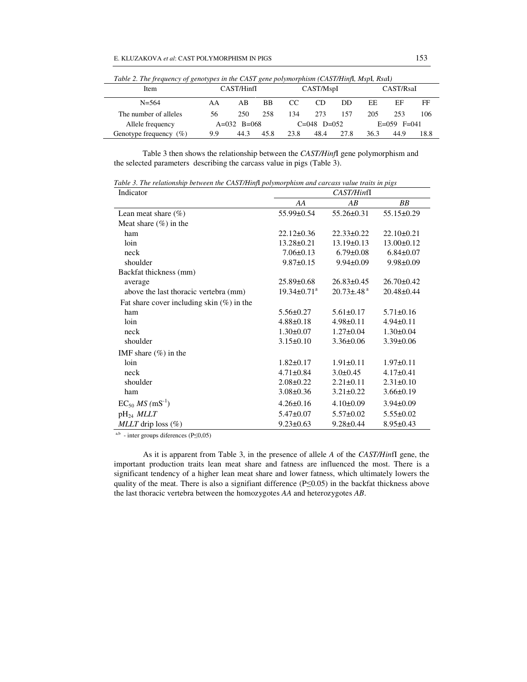| Table 2. The frequency of genotypes in the CAST gene polymorphism (CAST/Hinfl, Mspl, Rsal) |               |      |               |      |      |                   |      |      |      |
|--------------------------------------------------------------------------------------------|---------------|------|---------------|------|------|-------------------|------|------|------|
| Item                                                                                       | CAST/HinfI    |      | CAST/MspI     |      |      | CAST/RsaI         |      |      |      |
| $N = 564$                                                                                  | AA            | AB   | <b>BB</b>     | CC.  | CD   | DD                | EЕ   | ЕF   | FF   |
| The number of alleles                                                                      | 56            | 250  | 258           | 134  | 2.73 | 157               | 205  | 253  | 106  |
| Allele frequency                                                                           | $A=032$ B=068 |      | $C=048$ D=052 |      |      | $E=0.59$ $F=0.41$ |      |      |      |
| Genotype frequency (%)                                                                     | 9.9           | 44.3 | 45.8          | 23.8 | 48.4 | 27.8              | 36.3 | 44.9 | 18.8 |

*Table 2. The frequency of genotypes in the CAST gene polymorphism (CAST/Hinf*I*, Msp*I*, Rsa*I*)* 

Table 3 then shows the relationship between the *CAST/Hinf*I gene polymorphism and the selected parameters describing the carcass value in pigs (Table 3).

*Table 3. The relationship between the CAST/Hinf*I *polymorphism and carcass value traits in pigs* 

| Indicator                                    | CAST/HinfI                    |                              |                  |  |
|----------------------------------------------|-------------------------------|------------------------------|------------------|--|
|                                              | AA                            | AB                           | BB               |  |
| Lean meat share $(\%)$                       | 55.99±0.54                    | $55.26 \pm 0.31$             | $55.15 \pm 0.29$ |  |
| Meat share $(\%)$ in the                     |                               |                              |                  |  |
| ham                                          | $22.12 \pm 0.36$              | $22.33 \pm 0.22$             | $22.10\pm0.21$   |  |
| loin                                         | $13.28 \pm 0.21$              | $13.19 \pm 0.13$             | $13.00 \pm 0.12$ |  |
| neck                                         | $7.06 \pm 0.13$               | $6.79 \pm 0.08$              | $6.84 \pm 0.07$  |  |
| shoulder                                     | $9.87 \pm 0.15$               | $9.94 \pm 0.09$              | $9.98 \pm 0.09$  |  |
| Backfat thickness (mm)                       |                               |                              |                  |  |
| average                                      | $25.89 \pm 0.68$              | $26.83 \pm 0.45$             | $26.70 \pm 0.42$ |  |
| above the last thoracic vertebra (mm)        | $19.34 \pm 0.71$ <sup>a</sup> | $20.73 \pm .48$ <sup>a</sup> | $20.48 \pm 0.44$ |  |
| Fat share cover including skin $(\%)$ in the |                               |                              |                  |  |
| ham                                          | $5.56 \pm 0.27$               | $5.61 \pm 0.17$              | $5.71 \pm 0.16$  |  |
| loin                                         | $4.88 \pm 0.18$               | $4.98 \pm 0.11$              | $4.94 \pm 0.11$  |  |
| neck                                         | $1.30 \pm 0.07$               | $1.27 \pm 0.04$              | $1.30 \pm 0.04$  |  |
| shoulder                                     | $3.15 \pm 0.10$               | $3.36 \pm 0.06$              | $3.39 \pm 0.06$  |  |
| IMF share $(\%)$ in the                      |                               |                              |                  |  |
| loin                                         | $1.82 \pm 0.17$               | $1.91 \pm 0.11$              | $1.97\pm0.11$    |  |
| neck                                         | $4.71 \pm 0.84$               | $3.0 \pm 0.45$               | $4.17\pm0.41$    |  |
| shoulder                                     | $2.08 \pm 0.22$               | $2.21 \pm 0.11$              | $2.31 \pm 0.10$  |  |
| ham                                          | $3.08 \pm 0.36$               | $3.21 \pm 0.22$              | $3.66 \pm 0.19$  |  |
| $EC_{50}$ <i>MS</i> (mS <sup>-1</sup> )      | $4.26 \pm 0.16$               | $4.10 \pm 0.09$              | $3.94 \pm 0.09$  |  |
| $pH_{24}$ MLLT                               | $5.47 \pm 0.07$               | $5.57 \pm 0.02$              | $5.55 \pm 0.02$  |  |
| <i>MLLT</i> drip loss $(\%)$                 | $9.23 \pm 0.63$               | $9.28 \pm 0.44$              | $8.95 \pm 0.43$  |  |

<sup>a,b</sup> - inter groups diferences (P≤0,05)

 As it is apparent from Table 3, in the presence of allele *A* of the *CAST/Hin*fI gene, the important production traits lean meat share and fatness are influenced the most. There is a significant tendency of a higher lean meat share and lower fatness, which ultimately lowers the quality of the meat. There is also a signifiant difference (P≤0.05) in the backfat thickness above the last thoracic vertebra between the homozygotes *AA* and heterozygotes *AB*.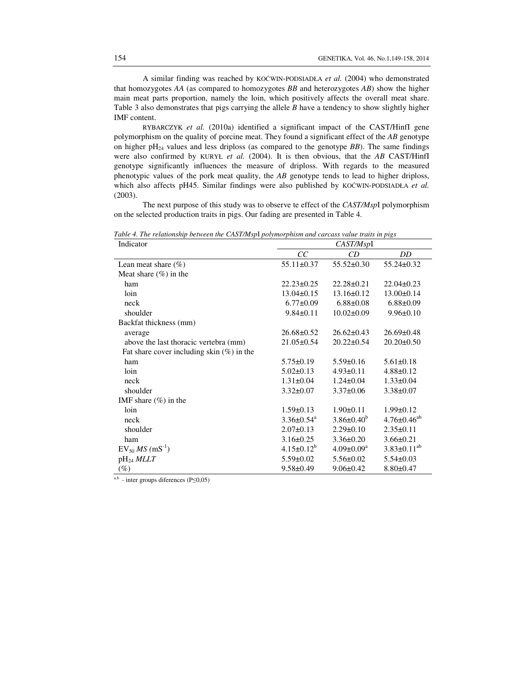A similar finding was reached by KOĆWIN-PODSIADŁA *et al.* (2004) who demonstrated that homozygotes *AA* (as compared to homozygotes *BB* and heterozygotes *AB*) show the higher main meat parts proportion, namely the loin, which positively affects the overall meat share. Table 3 also demonstrates that pigs carrying the allele *B* have a tendency to show slightly higher IMF content.

RYBARCZYK *et al.* (2010a) identified a significant impact of the CAST/HinfI gene polymorphism on the quality of porcine meat. They found a significant effect of the *AB* genotype on higher pH<sub>24</sub> values and less driploss (as compared to the genotype *BB*). The same findings were also confirmed by KURYŁ *et al.* (2004). It is then obvious, that the *AB* CAST/HinfI genotype significantly influences the measure of driploss. With regards to the measured phenotypic values of the pork meat quality, the *AB* genotype tends to lead to higher driploss, which also affects pH45. Similar findings were also published by KOĆWIN-PODSIADŁA et al. (2003).

The next purpose of this study was to observe te effect of the *CAST/Msp*I polymorphism on the selected production traits in pigs. Our fading are presented in Table 4.

*Table 4. The relationship between the CAST/Msp*I *polymorphism and carcass value traits in pigs* 

| Indicator                                    | CAST/MspI                    |                              |                               |  |
|----------------------------------------------|------------------------------|------------------------------|-------------------------------|--|
|                                              | CC                           | CD                           | DD                            |  |
| Lean meat share $(\% )$                      | $55.11 \pm 0.37$             | $55.52 \pm 0.30$             | $55.24 \pm 0.32$              |  |
| Meat share $(\%)$ in the                     |                              |                              |                               |  |
| ham                                          | $22.23 \pm 0.25$             | $22.28 \pm 0.21$             | $22.04 \pm 0.23$              |  |
| loin                                         | $13.04 \pm 0.15$             | $13.16 \pm 0.12$             | $13.00 \pm 0.14$              |  |
| neck                                         | $6.77 \pm 0.09$              | $6.88 \pm 0.08$              | $6.88 \pm 0.09$               |  |
| shoulder                                     | $9.84 \pm 0.11$              | $10.02 \pm 0.09$             | $9.96 \pm 0.10$               |  |
| Backfat thickness (mm)                       |                              |                              |                               |  |
| average                                      | $26.68 \pm 0.52$             | $26.62 \pm 0.43$             | $26.69 \pm 0.48$              |  |
| above the last thoracic vertebra (mm)        | $21.05 \pm 0.54$             | $20.22 \pm 0.54$             | $20.20 \pm 0.50$              |  |
| Fat share cover including skin $(\%)$ in the |                              |                              |                               |  |
| ham                                          | $5.75 \pm 0.19$              | $5.59 \pm 0.16$              | $5.61 \pm 0.18$               |  |
| loin                                         | $5.02 \pm 0.13$              | $4.93 \pm 0.11$              | $4.88 \pm 0.12$               |  |
| neck                                         | $1.31 \pm 0.04$              | $1.24 \pm 0.04$              | $1.33 \pm 0.04$               |  |
| shoulder                                     | $3.32 \pm 0.07$              | $3.37 \pm 0.06$              | $3.38 \pm 0.07$               |  |
| IMF share $(\%)$ in the                      |                              |                              |                               |  |
| loin                                         | $1.59 \pm 0.13$              | $1.90 \pm 0.11$              | $1.99 \pm 0.12$               |  |
| neck                                         | $3.36 \pm 0.54$ <sup>a</sup> | $3.86 \pm 0.40^b$            | $4.76 \pm 0.46$ <sup>ab</sup> |  |
| shoulder                                     | $2.07 \pm 0.13$              | $2.29 \pm 0.10$              | $2.35 \pm 0.11$               |  |
| ham                                          | $3.16 \pm 0.25$              | $3.36 \pm 0.20$              | $3.66 \pm 0.21$               |  |
| $EV_{50} MS$ (mS <sup>-1</sup> )             | $4.15 \pm 0.12^b$            | $4.09 \pm 0.09^{\mathrm{a}}$ | $3.83 \pm 0.11^{ab}$          |  |
| $pH_{24}$ MLLT                               | $5.59 \pm 0.02$              | $5.56 \pm 0.02$              | $5.54 \pm 0.03$               |  |
| $(\%)$                                       | $9.58 \pm 0.49$              | $9.06 \pm 0.42$              | $8.80 \pm 0.47$               |  |

<sup>a,b</sup> - inter groups diferences (P≤0,05)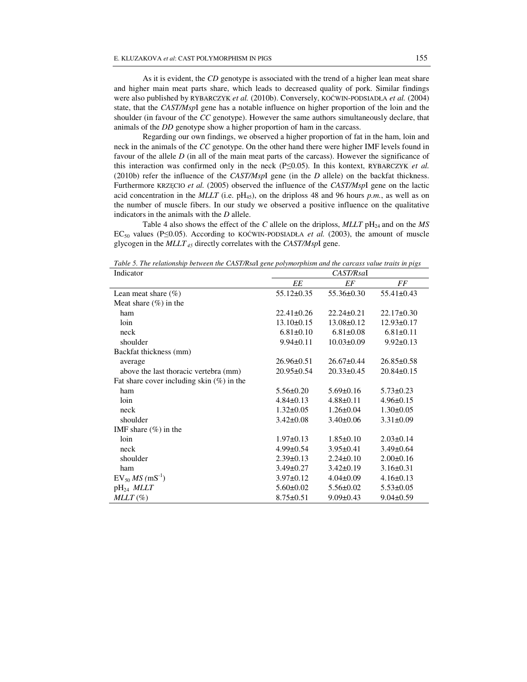As it is evident, the *CD* genotype is associated with the trend of a higher lean meat share and higher main meat parts share, which leads to decreased quality of pork. Similar findings were also published by RYBARCZYK *et al.* (2010b). Conversely, KOĆWIN-PODSIADŁA *et al.* (2004) state, that the *CAST/Msp*I gene has a notable influence on higher proportion of the loin and the shoulder (in favour of the *CC* genotype). However the same authors simultaneously declare, that animals of the *DD* genotype show a higher proportion of ham in the carcass.

Regarding our own findings, we observed a higher proportion of fat in the ham, loin and neck in the animals of the *CC* genotype. On the other hand there were higher IMF levels found in favour of the allele *D* (in all of the main meat parts of the carcass). However the significance of this interaction was confirmed only in the neck (P≤0.05). In this kontext, RYBARCZYK *et al.* (2010b) refer the influence of the *CAST/Msp*I gene (in the *D* allele) on the backfat thickness. Furthermore KRZĘCIO *et al.* (2005) observed the influence of the *CAST/Msp*I gene on the lactic acid concentration in the  $MLLT$  (i.e.  $pH_{45}$ ), on the driploss 48 and 96 hours *p.m.*, as well as on the number of muscle fibers. In our study we observed a positive influence on the qualitative indicators in the animals with the *D* allele.

Table 4 also shows the effect of the *C* allele on the driploss,  $MLLT$  pH<sub>24</sub> and on the *MS* EC<sub>50</sub> values (P≤0.05). According to KOĆWIN-PODSIADŁA *et al.* (2003), the amount of muscle glycogen in the *MLLT 45* directly correlates with the *CAST/Msp*I gene.

| Indicator                                    | CAST/RsaI        |                  |                  |  |
|----------------------------------------------|------------------|------------------|------------------|--|
|                                              | EE               | EF               | FF               |  |
| Lean meat share $(\% )$                      | 55.12±0.35       | $55.36 \pm 0.30$ | $55.41 \pm 0.43$ |  |
| Meat share $(\%)$ in the                     |                  |                  |                  |  |
| ham                                          | $22.41 \pm 0.26$ | $22.24 \pm 0.21$ | $22.17\pm0.30$   |  |
| loin                                         | $13.10 \pm 0.15$ | $13.08 \pm 0.12$ | $12.93 \pm 0.17$ |  |
| neck                                         | $6.81 \pm 0.10$  | $6.81 \pm 0.08$  | $6.81 \pm 0.11$  |  |
| shoulder                                     | $9.94 \pm 0.11$  | $10.03 \pm 0.09$ | $9.92 \pm 0.13$  |  |
| Backfat thickness (mm)                       |                  |                  |                  |  |
| average                                      | $26.96 \pm 0.51$ | $26.67 \pm 0.44$ | $26.85 \pm 0.58$ |  |
| above the last thoracic vertebra (mm)        | 20.95±0.54       | $20.33 \pm 0.45$ | $20.84 \pm 0.15$ |  |
| Fat share cover including skin $(\%)$ in the |                  |                  |                  |  |
| ham                                          | $5.56 \pm 0.20$  | $5.69 \pm 0.16$  | $5.73 \pm 0.23$  |  |
| loin                                         | $4.84\pm0.13$    | $4.88 \pm 0.11$  | $4.96 \pm 0.15$  |  |
| neck                                         | $1.32 \pm 0.05$  | $1.26 \pm 0.04$  | $1.30 \pm 0.05$  |  |
| shoulder                                     | $3.42 \pm 0.08$  | $3.40 \pm 0.06$  | $3.31 \pm 0.09$  |  |
| IMF share $(\%)$ in the                      |                  |                  |                  |  |
| loin                                         | $1.97 \pm 0.13$  | $1.85 \pm 0.10$  | $2.03 \pm 0.14$  |  |
| neck                                         | $4.99 \pm 0.54$  | $3.95 \pm 0.41$  | $3.49 \pm 0.64$  |  |
| shoulder                                     | $2.39 \pm 0.13$  | $2.24 \pm 0.10$  | $2.00 \pm 0.16$  |  |
| ham                                          | $3.49 \pm 0.27$  | $3.42 \pm 0.19$  | $3.16 \pm 0.31$  |  |
| $EV_{50} MS$ (mS <sup>-1</sup> )             | $3.97 \pm 0.12$  | $4.04 \pm 0.09$  | $4.16 \pm 0.13$  |  |
| $pH_{24}$ MLLT                               | $5.60 \pm 0.02$  | $5.56 \pm 0.02$  | $5.53 \pm 0.05$  |  |
| $MLLT(\%)$                                   | $8.75 \pm 0.51$  | $9.09 \pm 0.43$  | $9.04 \pm 0.59$  |  |

*Table 5. The relationship between the CAST/Rsa*I *gene polymorphism and the carcass value traits in pigs*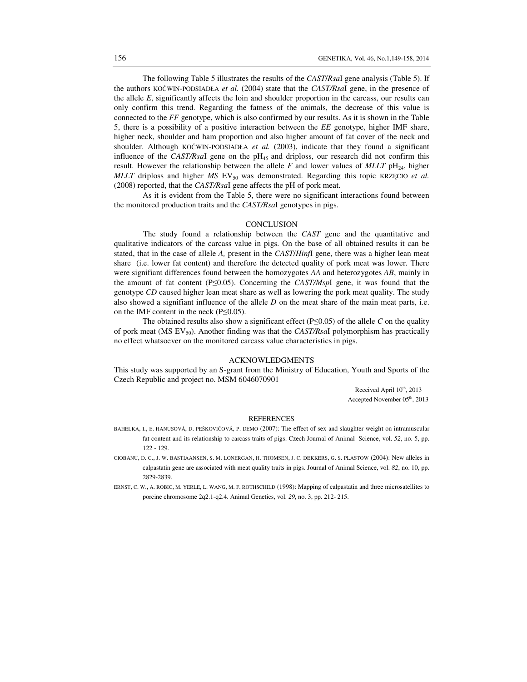The following Table 5 illustrates the results of the *CAST*/*Rsa*I gene analysis (Table 5). If the authors KOĆWIN-PODSIADŁA *et al.* (2004) state that the *CAST/Rsa*I gene, in the presence of the allele *E*, significantly affects the loin and shoulder proportion in the carcass, our results can only confirm this trend. Regarding the fatness of the animals, the decrease of this value is connected to the *FF* genotype, which is also confirmed by our results. As it is shown in the Table 5, there is a possibility of a positive interaction between the *EE* genotype, higher IMF share, higher neck, shoulder and ham proportion and also higher amount of fat cover of the neck and shoulder. Although KOĆWIN-PODSIADŁA *et al.* (2003), indicate that they found a significant influence of the *CAST/Rsal* gene on the  $pH_{45}$  and driploss, our research did not confirm this result. However the relationship between the allele  $F$  and lower values of  $MLLT$  pH<sub>24</sub>, higher *MLLT* driploss and higher *MS* EV<sub>50</sub> was demonstrated. Regarding this topic KRZĘCIO *et al.* (2008) reported, that the *CAST/Rsa*I gene affects the pH of pork meat.

As it is evident from the Table 5, there were no significant interactions found between the monitored production traits and the *CAST/Rsa*I genotypes in pigs.

## **CONCLUSION**

 The study found a relationship between the *CAST* gene and the quantitative and qualitative indicators of the carcass value in pigs. On the base of all obtained results it can be stated, that in the case of allele *A,* present in the *CAST*/*Hinf*I gene, there was a higher lean meat share (i.e. lower fat content) and therefore the detected quality of pork meat was lower. There were signifiant differences found between the homozygotes *AA* and heterozygotes *AB*, mainly in the amount of fat content (P≤0.05). Concerning the *CAST/Msp*I gene, it was found that the genotype *CD* caused higher lean meat share as well as lowering the pork meat quality. The study also showed a signifiant influence of the allele *D* on the meat share of the main meat parts, i.e. on the IMF content in the neck  $(P \le 0.05)$ .

The obtained results also show a significant effect ( $P \le 0.05$ ) of the allele *C* on the quality of pork meat (MS EV50). Another finding was that the *CAST/Rsa*I polymorphism has practically no effect whatsoever on the monitored carcass value characteristics in pigs.

#### ACKNOWLEDGMENTS

This study was supported by an S-grant from the Ministry of Education, Youth and Sports of the Czech Republic and project no. MSM 6046070901

> Received April  $10<sup>th</sup>$ , 2013 Accepted November 05<sup>th</sup>, 2013

#### REFERENCES

- BAHELKA, I., E. HANUSOVÁ, D. PEŠKOVIČOVÁ, P. DEMO (2007): The effect of sex and slaughter weight on intramuscular fat content and its relationship to carcass traits of pigs. Czech Journal of Animal Science, vol. *52*, no. 5, pp. 122 - 129.
- CIOBANU, D. C., J. W. BASTIAANSEN, S. M. LONERGAN, H. THOMSEN, J. C. DEKKERS, G. S. PLASTOW (2004): New alleles in calpastatin gene are associated with meat quality traits in pigs. Journal of Animal Science, vol. *82*, no. 10, pp. 2829-2839.
- ERNST, C. W., A. ROBIC, M. YERLE, L. WANG, M. F. ROTHSCHILD (1998): Mapping of calpastatin and three microsatellites to porcine chromosome 2q2.1-q2.4. Animal Genetics, vol. *29*, no. 3, pp. 212- 215.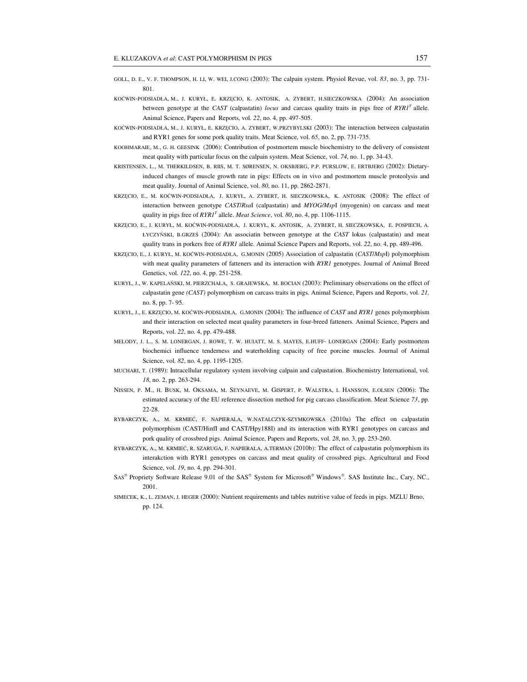- GOLL, D. E., V. F. THOMPSON, H. LI, W. WEI, J.CONG (2003): The calpain system. Physiol Revue, vol. *83*, no. 3, pp. 731- 801.
- KOĆWIN-PODSIADŁA, M., J. KURYŁ, E. KRZĘCIO, K. ANTOSIK, A. ZYBERT, H.SIECZKOWSKA (2004): An association between genotype at the *CAST* (calpastatin) *locus* and carcass quality traits in pigs free of *RYR1<sup>T</sup>*allele. Animal Science, Papers and Reports, vol. *22*, no. 4, pp. 497-505.
- KOĆWIN-PODSIADŁA, M., J. KURYŁ, E. KRZĘCIO, A. ZYBERT, W.PRZYBYLSKI (2003): The interaction between calpastatin and RYR1 genes for some pork quality traits. Meat Science, vol. *65*, no. 2, pp. 731-735.
- KOOHMARAIE, M., G. H. GEESINK (2006): Contribution of postmortem muscle biochemistry to the delivery of consistent meat quality with particular focus on the calpain system. Meat Science, vol. *74*, no. 1, pp. 34-43.
- KRISTENSEN, L., M. THERKILDSEN, B. RIIS, M. T. SØRENSEN, N. OKSBJERG, P.P. PURSLOW, E. ERTBJERG (2002): Dietaryinduced changes of muscle growth rate in pigs: Effects on in vivo and postmortem muscle proteolysis and meat quality. Journal of Animal Science, vol. *80*, no. 11, pp. 2862-2871.
- KRZĘCIO, E., M. KOĆWIN-PODSIADŁA, J. KURYŁ, A. ZYBERT, H. SIECZKOWSKA, K. ANTOSIK (2008): The effect of interaction between genotype *CAST*/*Rsa*I (calpastatin) and *MYOG/Msp*I (myogenin) on carcass and meat quality in pigs free of  $RYRI<sup>T</sup>$  allele. *Meat Science*, vol. 80, no. 4, pp. 1106-1115.
- KRZĘCIO, E., J. KURYŁ, M. KOĆWIN-PODSIADŁA, J. KURYŁ, K. ANTOSIK, A. ZYBERT, H. SIECZKOWSKA, E. POSPIECH, A. ŁYCZYŃSKI, B.GRZEŚ (2004): An associatin between genotype at the *CAST* lokus (calpastatin) and meat quality trans in porkers free of *RYR1* allele. Animal Science Papers and Reports, vol. *22*, no. 4, pp. 489-496.
- KRZĘCIO, E., J. KURYŁ, M. KOĆWIN-PODSIADŁA, G.MONIN (2005) Association of calpastatin (*CAST*/*Msp*I) polymorphism with meat quality parameters of fatteners and its interaction with *RYR1* genotypes. Journal of Animal Breed Genetics, vol. *122*, no. 4, pp. 251-258.
- KURYŁ, J., W. KAPELAŃSKI, M. PIERZCHAŁA, S. GRAJEWSKA, M. BOCIAN (2003): Preliminary observations on the effect of calpastatin gene *(CAST)* polymorphism on carcass traits in pigs. Animal Science, Papers and Reports, vol. *21,* no. 8, pp. 7- 95.
- KURYŁ, J., E. KRZĘCIO, M. KOĆWIN-PODSIADŁA, G.MONIN (2004): The influence of *CAST* and *RYR1* genes polymorphism and their interaction on selected meat quality parameters in four-breed fatteners. Animal Science, Papers and Reports, vol. *22*, no. 4, pp. 479-488.
- MELODY, J. L., S. M. LONERGAN, J. ROWE, T. W. HUIATT, M. S. MAYES, E.HUFF- LONERGAN (2004): Early postmortem biochemici influence tenderness and waterholding capacity of free porcine muscles. Journal of Animal Science, vol. *82*, no. 4, pp. 1195-1205.
- MUCHARI, T. (1989): Intracellular regulatory system involving calpain and calpastation. Biochemistry International, vol. *18*, no. 2, pp. 263-294.
- NISSEN, P. M., H. BUSK, M. OKSAMA, M. SEYNAEVE, M. GISPERT, P. WALSTRA, I. HANSSON, E.OLSEN (2006): The estimated accuracy of the EU reference dissection method for pig carcass classification. Meat Science *73*, pp. 22-28.
- RYBARCZYK, A., M. KRMIEĆ, F. NAPIERALA, W.NATALCZYK-SZYMKOWSKA (2010a) The effect on calpastatin polymorphism (CAST/HinfI and CAST/Hpy188I) and its interaction with RYR1 genotypes on carcass and pork quality of crossbred pigs. Animal Science, Papers and Reports, vol. *28*, no. 3, pp. 253-260.
- RYBARCZYK, A., M. KRMIEĆ, R. SZARUGA, F. NAPIERALA, A.TERMAN (2010b): The effect of calpastatin polymorphism its interakction with RYR1 genotypes on carcass and meat quality of crossbred pigs. Agricultural and Food Science, vol. *19*, no. 4, pp. 294-301.
- SAS® Propriety Software Release 9.01 of the SAS® System for Microsoft® Windows®. SAS Institute Inc., Cary, NC., 2001.
- SIMECEK, K., L. ZEMAN, J. HEGER (2000): Nutrient requirements and tables nutritive value of feeds in pigs. MZLU Brno, pp. 124.